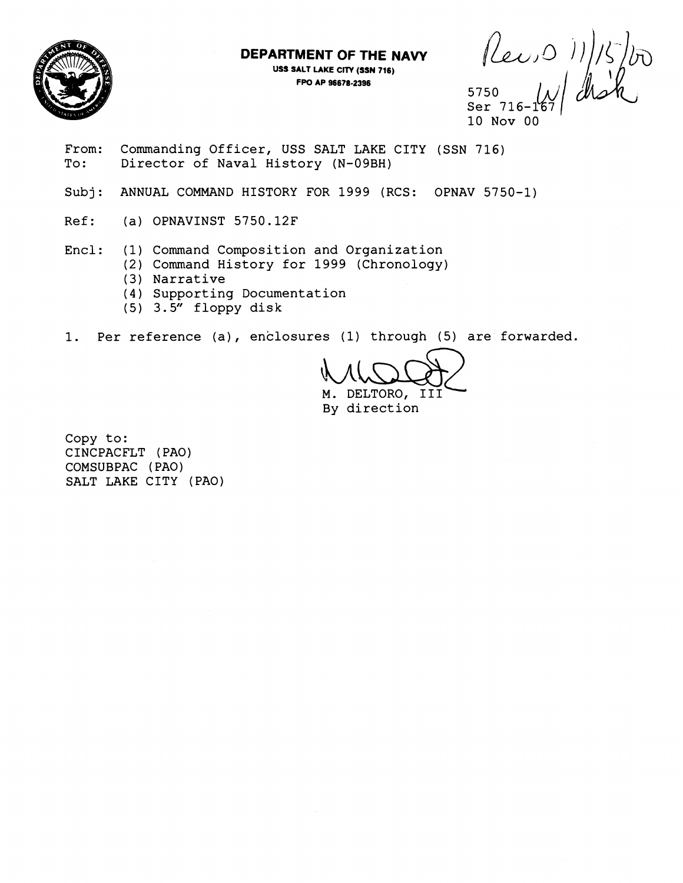

**DEPARTMENT OF THE NAW USS SALT LAKE ClTV (SSN 716) FPO AP 96678-2396** 

5750

Ser 716-167*|* 10 Nov 00

From: Commanding Officer, USS SALT LAKE CITY (SSN 716)<br>To: Director of Naval History (N-09BH) Director of Naval History (N-09BH)

- Subj: ANNUAL COMMAND HISTORY FOR 1999 (RCS: OPNAV 5750-1)
- Ref: (a) OPNAVINST 5750.12F

Encl: (1) Command Composition and Organization

- (2) Command History for 1999 (Chronology)
- (3) Narrative
- (4) Supporting Documentation
- (5) 3.5" floppy disk

1. Per reference (a), enclosures (1) through (5) are forwarded.

M. DELTORO, I11 By direction

Copy to: CINCPACFLT (PAO) COMSUBPAC (PAO) SALT LAKE CITY (PAO)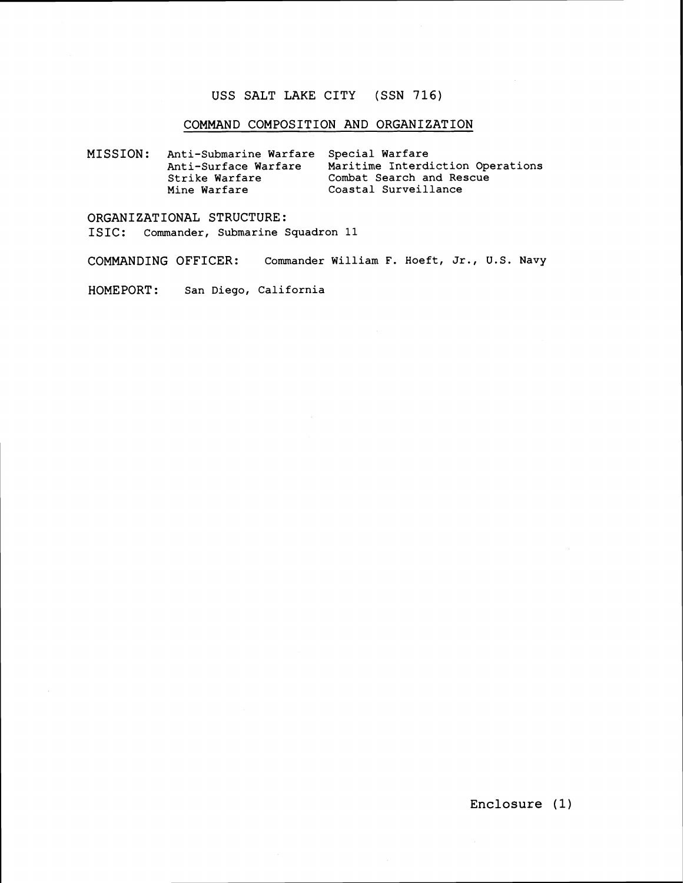### **USS SALT LAKE CITY (SSN 716)**

### **COMMAND COMPOSITION AND ORGANIZATION**

**MISSION** : **Anti-Submarine Warfare Special Warfare Anti-Surface Warfare Maritime Interdiction Operations Strike Warfare Combat Search and Rescue Mine Warfare Coastal Surveillance** 

**ORGANIZATIONAL STRUCTURE: ISIC** : **Commander, Submarine Squadron 11** 

**COMMANDING OFFICER: Commander William** F. **Hoeft, Jr., U.S. Navy** 

**HOMEPORT** : **san Diego, California**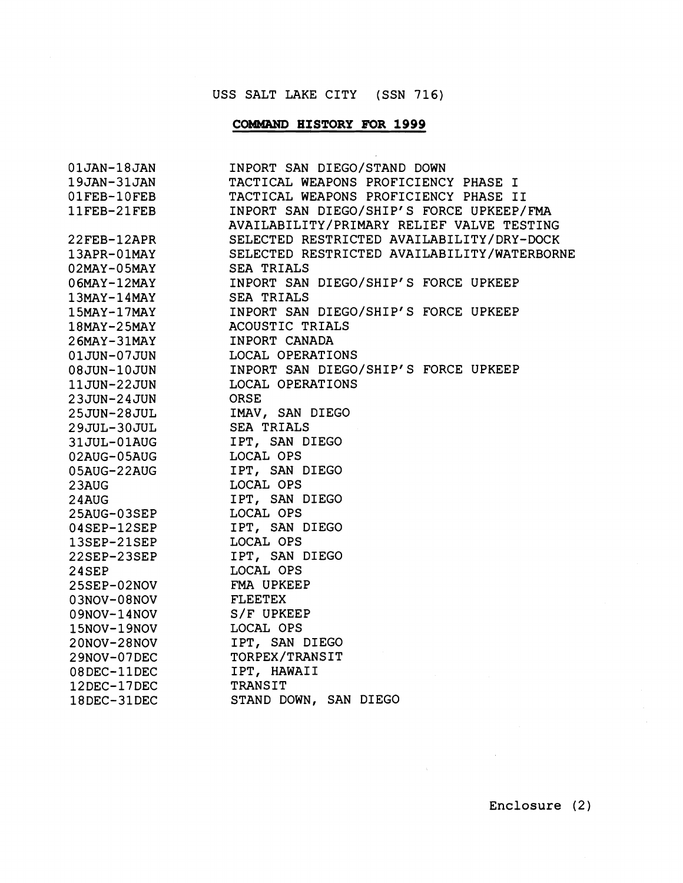# USS SALT LAKE CITY (SSN 716)

# **COMMAND HISTORY FOR 1999**

 $\sim$   $\epsilon$ 

| $01$ JAN- $18$ JAN | INPORT SAN DIEGO/STAND DOWN                 |
|--------------------|---------------------------------------------|
| 19JAN-31JAN        | TACTICAL WEAPONS PROFICIENCY PHASE I        |
| 01FEB-10FEB        | TACTICAL WEAPONS PROFICIENCY PHASE II       |
| 11FEB-21FEB        | INPORT SAN DIEGO/SHIP'S FORCE UPKEEP/FMA    |
|                    | AVAILABILITY/PRIMARY RELIEF VALVE TESTING   |
| 22FEB-12APR        | SELECTED RESTRICTED AVAILABILITY/DRY-DOCK   |
| 13APR-01MAY        | SELECTED RESTRICTED AVAILABILITY/WATERBORNE |
| $02$ MAY-05MAY     | SEA TRIALS                                  |
| $06$ MAY-12MAY     | INPORT SAN DIEGO/SHIP'S FORCE UPKEEP        |
| $13$ MAY- $14$ MAY | <b>SEA TRIALS</b>                           |
| $15$ MAY- $17$ MAY | INPORT SAN DIEGO/SHIP'S FORCE UPKEEP        |
| $18$ MAY-25MAY     | ACOUSTIC TRIALS                             |
| $26$ MAY-31MAY     | INPORT CANADA                               |
| 01JUN-07JUN        | LOCAL OPERATIONS                            |
| 08JUN-10JUN        | INPORT SAN DIEGO/SHIP'S FORCE UPKEEP        |
| 11JUN-22JUN        | LOCAL OPERATIONS                            |
| 23JUN-24JUN        | ORSE                                        |
| 25JUN-28JUL        | IMAV, SAN DIEGO                             |
| 29JUL-30JUL        | <b>SEA TRIALS</b>                           |
| 31JUL-01AUG        | IPT, SAN DIEGO                              |
| 02AUG-05AUG        | LOCAL OPS                                   |
| 05AUG-22AUG        | IPT, SAN DIEGO                              |
| 23AUG              | LOCAL OPS                                   |
| 24AUG              | IPT, SAN DIEGO                              |
| 25AUG-03SEP        | LOCAL OPS                                   |
| $04$ SEP- $12$ SEP | IPT, SAN DIEGO                              |
| $13$ SEP-21SEP     | LOCAL OPS                                   |
| 22SEP-23SEP        | IPT, SAN DIEGO                              |
| $24$ SEP           | LOCAL OPS                                   |
| 25SEP-02NOV        | FMA UPKEEP                                  |
| $03NOV-08NOV$      | FLEETEX                                     |
| $09NOV-14NOV$      | S/F UPKEEP                                  |
| 15NOV-19NOV        | LOCAL OPS                                   |
| 20NOV-28NOV        | IPT, SAN DIEGO                              |
| 29NOV-07DEC        | TORPEX/TRANSIT                              |
| $08$ DEC- $11$ DEC | IPT, HAWAII                                 |
| 12DEC-17DEC        | TRANSIT                                     |
| 18DEC-31DEC        | STAND DOWN, SAN DIEGO                       |

 $\label{eq:2.1} \frac{1}{\sqrt{2\pi}}\int_{\mathbb{R}^{3}}\frac{1}{\sqrt{2\pi}}\left(\frac{1}{\sqrt{2\pi}}\right)^{2}d\mu\,d\mu\,.$